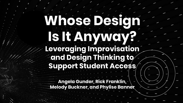## Whose Design **Is It Anyway? Leveraging Improvisation and Design Thinking to Support Student Access**

**Angela Gunder, Rick Franklin, Melody Buckner, and Phylise Banner**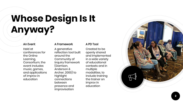#### **Whose Design Is It Anyway?**

#### An Event

Held at conferences for the Online Learning, Consortium, the event includes music, games, and applications of improv in education

#### A Framework

A generative reflection tool built around the Community of Inquiry framework (Garrison, Anderson & Archer, 2000) to highlight connections between presence and improvisation

Created to be openly shared and implemented in a wide variety of educational contexts and in multiple modalities, to include training the trainer on improv in education

A PD Tool

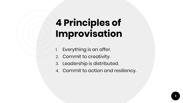## **4 Principles of Improvisation**

- Everything is an offer.
- 2. Commit to creativity.
- 3. Leadership is distributed.
- 4. Commit to action and resiliency.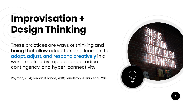## **Improvisation + Design Thinking**

These practices are ways of thinking and being that allow educators and learners to adapt, adjust, and respond creatively in a world marked by rapid change, radical contingency, and hyper-connectivity.

Poynton, 2014; Jordan & Lande, 2016; Pendleton-Jullian et al., 2018

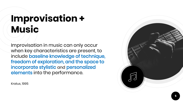### **Improvisation + Music**

Improvisation in music can only occur when key characteristics are present, to include baseline knowledge of technique, freedom of exploration, and the space to incorporate stylistic and personalized elements into the performance.

Kratus, 1995

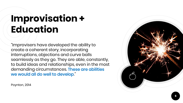### **Improvisation + Education**

"Improvisers have developed the ability to create a coherent story, incorporating interruptions, objections and curve balls seamlessly as they go. They are able, constantly, to build ideas and relationships, even in the most demanding circumstances. These are abilities we would all do well to develop."



Poynton, 2014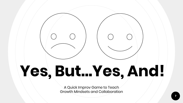## **Yes, But…Yes, And!**

A Quick Improv Game to Teach Growth Mindsets and Collaboration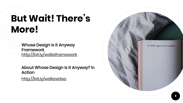### **But Wait! There's More!**

Whose Design Is It Anyway **Framework** <http://bit.ly/wdiiaframework>

About Whose Design Is It Anyway? In Action <http://bit.ly/wdiiavideo>